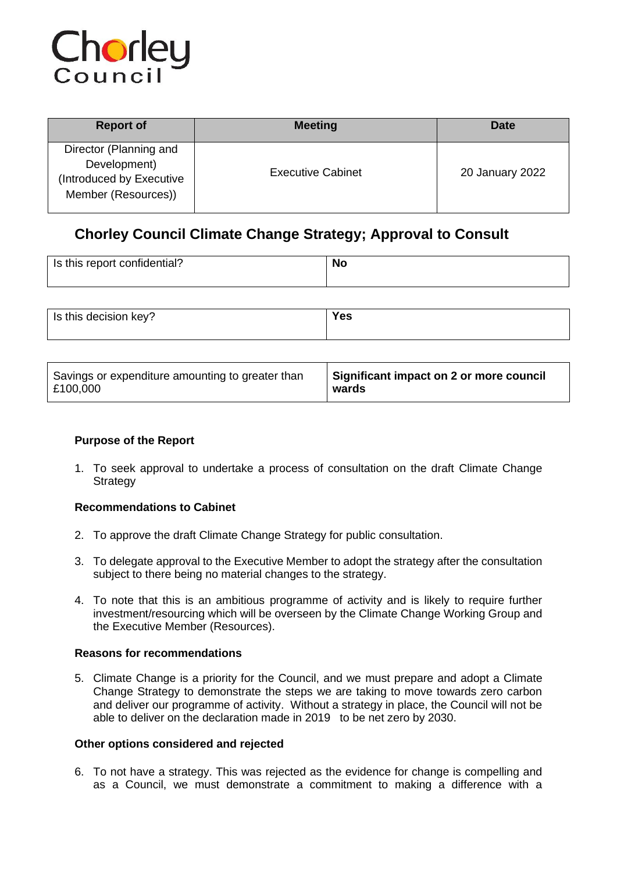

| <b>Report of</b>                                                                          | <b>Meeting</b>           | Date            |
|-------------------------------------------------------------------------------------------|--------------------------|-----------------|
| Director (Planning and<br>Development)<br>(Introduced by Executive<br>Member (Resources)) | <b>Executive Cabinet</b> | 20 January 2022 |

# **Chorley Council Climate Change Strategy; Approval to Consult**

| Is this report confidential? | No |
|------------------------------|----|
|                              |    |

| Is this decision key? | Yes |
|-----------------------|-----|
|                       |     |

| Savings or expenditure amounting to greater than | Significant impact on 2 or more council |  |
|--------------------------------------------------|-----------------------------------------|--|
| £100,000                                         | wards                                   |  |

# **Purpose of the Report**

1. To seek approval to undertake a process of consultation on the draft Climate Change **Strategy** 

# **Recommendations to Cabinet**

- 2. To approve the draft Climate Change Strategy for public consultation.
- 3. To delegate approval to the Executive Member to adopt the strategy after the consultation subject to there being no material changes to the strategy.
- 4. To note that this is an ambitious programme of activity and is likely to require further investment/resourcing which will be overseen by the Climate Change Working Group and the Executive Member (Resources).

## **Reasons for recommendations**

5. Climate Change is a priority for the Council, and we must prepare and adopt a Climate Change Strategy to demonstrate the steps we are taking to move towards zero carbon and deliver our programme of activity. Without a strategy in place, the Council will not be able to deliver on the declaration made in 2019 to be net zero by 2030.

## **Other options considered and rejected**

6. To not have a strategy. This was rejected as the evidence for change is compelling and as a Council, we must demonstrate a commitment to making a difference with a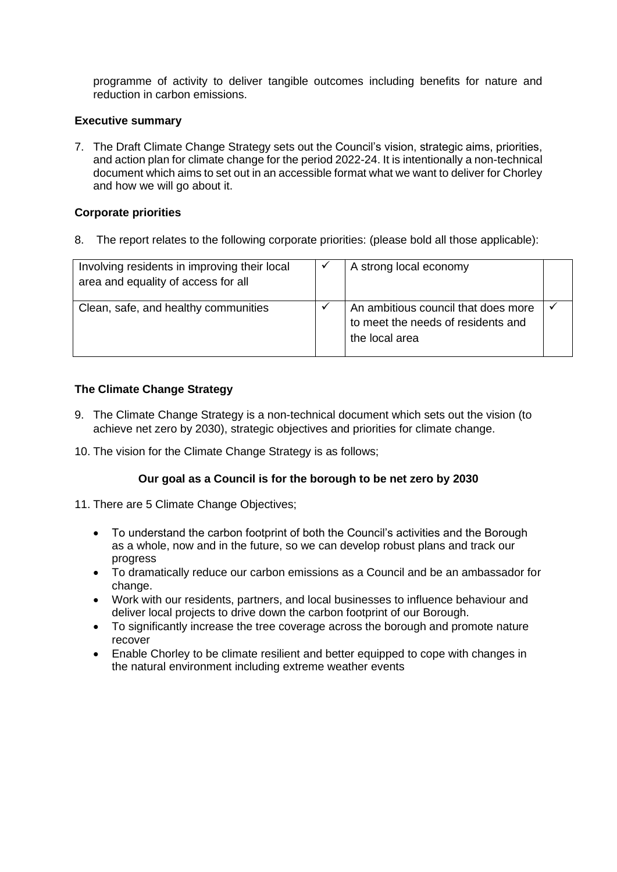programme of activity to deliver tangible outcomes including benefits for nature and reduction in carbon emissions.

#### **Executive summary**

7. The Draft Climate Change Strategy sets out the Council's vision, strategic aims, priorities, and action plan for climate change for the period 2022-24. It is intentionally a non-technical document which aims to set out in an accessible format what we want to deliver for Chorley and how we will go about it.

## **Corporate priorities**

8. The report relates to the following corporate priorities: (please bold all those applicable):

| Involving residents in improving their local<br>area and equality of access for all | A strong local economy                                                                      |  |
|-------------------------------------------------------------------------------------|---------------------------------------------------------------------------------------------|--|
| Clean, safe, and healthy communities                                                | An ambitious council that does more<br>to meet the needs of residents and<br>the local area |  |

# **The Climate Change Strategy**

- 9. The Climate Change Strategy is a non-technical document which sets out the vision (to achieve net zero by 2030), strategic objectives and priorities for climate change.
- 10. The vision for the Climate Change Strategy is as follows;

## **Our goal as a Council is for the borough to be net zero by 2030**

- 11. There are 5 Climate Change Objectives;
	- To understand the carbon footprint of both the Council's activities and the Borough as a whole, now and in the future, so we can develop robust plans and track our progress
	- To dramatically reduce our carbon emissions as a Council and be an ambassador for change.
	- Work with our residents, partners, and local businesses to influence behaviour and deliver local projects to drive down the carbon footprint of our Borough.
	- To significantly increase the tree coverage across the borough and promote nature recover
	- Enable Chorley to be climate resilient and better equipped to cope with changes in the natural environment including extreme weather events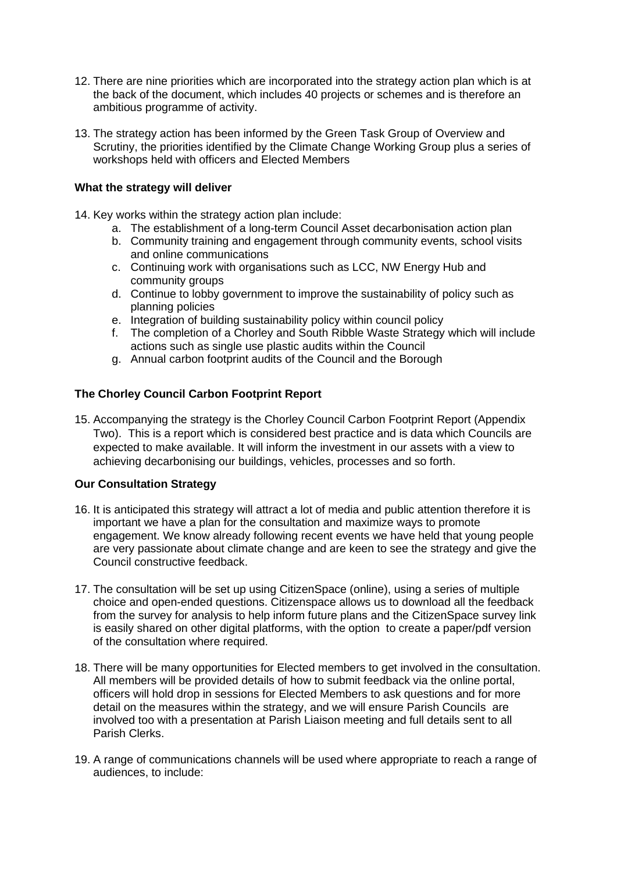- 12. There are nine priorities which are incorporated into the strategy action plan which is at the back of the document, which includes 40 projects or schemes and is therefore an ambitious programme of activity.
- 13. The strategy action has been informed by the Green Task Group of Overview and Scrutiny, the priorities identified by the Climate Change Working Group plus a series of workshops held with officers and Elected Members

## **What the strategy will deliver**

- 14. Key works within the strategy action plan include:
	- a. The establishment of a long-term Council Asset decarbonisation action plan
	- b. Community training and engagement through community events, school visits and online communications
	- c. Continuing work with organisations such as LCC, NW Energy Hub and community groups
	- d. Continue to lobby government to improve the sustainability of policy such as planning policies
	- e. Integration of building sustainability policy within council policy
	- f. The completion of a Chorley and South Ribble Waste Strategy which will include actions such as single use plastic audits within the Council
	- g. Annual carbon footprint audits of the Council and the Borough

## **The Chorley Council Carbon Footprint Report**

15. Accompanying the strategy is the Chorley Council Carbon Footprint Report (Appendix Two). This is a report which is considered best practice and is data which Councils are expected to make available. It will inform the investment in our assets with a view to achieving decarbonising our buildings, vehicles, processes and so forth.

## **Our Consultation Strategy**

- 16. It is anticipated this strategy will attract a lot of media and public attention therefore it is important we have a plan for the consultation and maximize ways to promote engagement. We know already following recent events we have held that young people are very passionate about climate change and are keen to see the strategy and give the Council constructive feedback.
- 17. The consultation will be set up using CitizenSpace (online), using a series of multiple choice and open-ended questions. Citizenspace allows us to download all the feedback from the survey for analysis to help inform future plans and the CitizenSpace survey link is easily shared on other digital platforms, with the option to create a paper/pdf version of the consultation where required.
- 18. There will be many opportunities for Elected members to get involved in the consultation. All members will be provided details of how to submit feedback via the online portal, officers will hold drop in sessions for Elected Members to ask questions and for more detail on the measures within the strategy, and we will ensure Parish Councils are involved too with a presentation at Parish Liaison meeting and full details sent to all Parish Clerks.
- 19. A range of communications channels will be used where appropriate to reach a range of audiences, to include: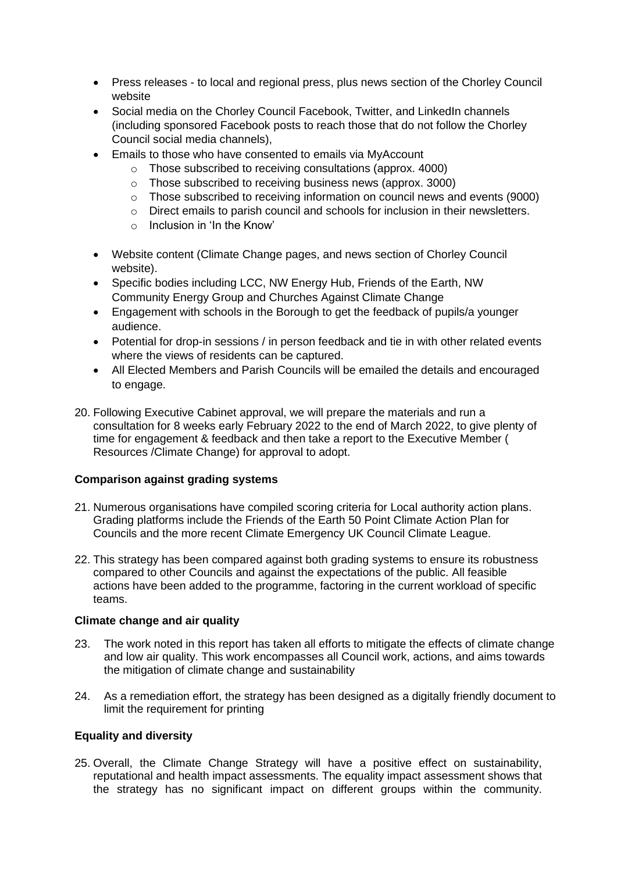- Press releases to local and regional press, plus news section of the Chorley Council website
- Social media on the Chorley Council Facebook, Twitter, and LinkedIn channels (including sponsored Facebook posts to reach those that do not follow the Chorley Council social media channels),
- Emails to those who have consented to emails via MyAccount
	- o Those subscribed to receiving consultations (approx. 4000)
	- o Those subscribed to receiving business news (approx. 3000)
	- o Those subscribed to receiving information on council news and events (9000)
	- o Direct emails to parish council and schools for inclusion in their newsletters.
	- $\circ$  Inclusion in 'In the Know'
- Website content (Climate Change pages, and news section of Chorley Council website).
- Specific bodies including LCC, NW Energy Hub, Friends of the Earth, NW Community Energy Group and Churches Against Climate Change
- Engagement with schools in the Borough to get the feedback of pupils/a younger audience.
- Potential for drop-in sessions / in person feedback and tie in with other related events where the views of residents can be captured.
- All Elected Members and Parish Councils will be emailed the details and encouraged to engage.
- 20. Following Executive Cabinet approval, we will prepare the materials and run a consultation for 8 weeks early February 2022 to the end of March 2022, to give plenty of time for engagement & feedback and then take a report to the Executive Member ( Resources /Climate Change) for approval to adopt.

## **Comparison against grading systems**

- 21. Numerous organisations have compiled scoring criteria for Local authority action plans. Grading platforms include the Friends of the Earth 50 Point Climate Action Plan for Councils and the more recent Climate Emergency UK Council Climate League.
- 22. This strategy has been compared against both grading systems to ensure its robustness compared to other Councils and against the expectations of the public. All feasible actions have been added to the programme, factoring in the current workload of specific teams.

## **Climate change and air quality**

- 23. The work noted in this report has taken all efforts to mitigate the effects of climate change and low air quality. This work encompasses all Council work, actions, and aims towards the mitigation of climate change and sustainability
- 24. As a remediation effort, the strategy has been designed as a digitally friendly document to limit the requirement for printing

## **Equality and diversity**

25. Overall, the Climate Change Strategy will have a positive effect on sustainability, reputational and health impact assessments. The equality impact assessment shows that the strategy has no significant impact on different groups within the community.